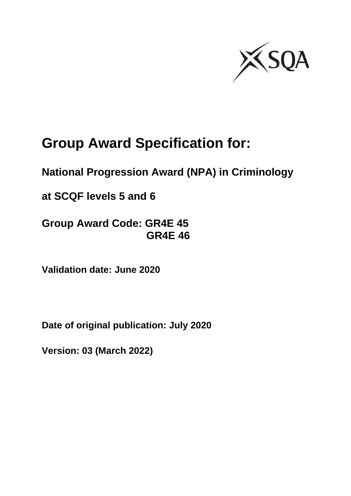

# **Group Award Specification for:**

# **National Progression Award (NPA) in Criminology**

**at SCQF levels 5 and 6**

**Group Award Code: GR4E 45 GR4E 46**

**Validation date: June 2020**

**Date of original publication: July 2020**

**Version: 03 (March 2022)**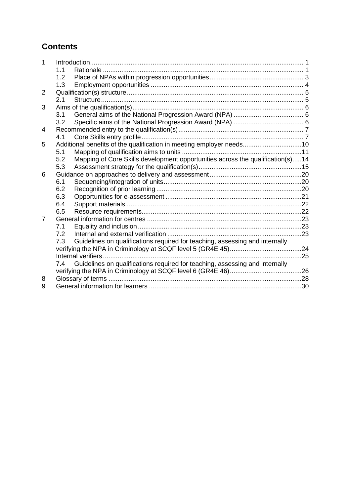## **Contents**

|   | 1.1 |                                                                                |     |
|---|-----|--------------------------------------------------------------------------------|-----|
|   | 1.2 |                                                                                |     |
|   | 1.3 |                                                                                |     |
| 2 |     |                                                                                |     |
|   | 2.1 |                                                                                |     |
| 3 |     |                                                                                |     |
|   | 3.1 |                                                                                |     |
|   | 3.2 |                                                                                |     |
| 4 |     |                                                                                |     |
|   | 4.1 |                                                                                |     |
| 5 |     | Additional benefits of the qualification in meeting employer needs10           |     |
|   | 5.1 |                                                                                |     |
|   | 5.2 | Mapping of Core Skills development opportunities across the qualification(s)14 |     |
|   | 5.3 |                                                                                |     |
| 6 |     |                                                                                |     |
|   | 6.1 |                                                                                |     |
|   | 6.2 |                                                                                |     |
|   | 6.3 |                                                                                |     |
|   | 6.4 |                                                                                |     |
|   | 6.5 |                                                                                |     |
| 7 |     |                                                                                |     |
|   | 7.1 |                                                                                |     |
|   | 7.2 |                                                                                |     |
|   | 7.3 | Guidelines on qualifications required for teaching, assessing and internally   |     |
|   |     |                                                                                |     |
|   |     |                                                                                | .25 |
|   | 7.4 | Guidelines on qualifications required for teaching, assessing and internally   |     |
|   |     |                                                                                |     |
| 8 |     |                                                                                |     |
| 9 |     |                                                                                |     |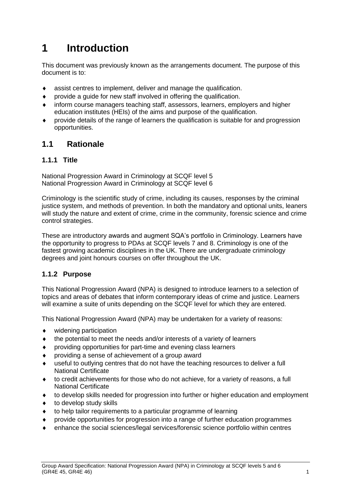# <span id="page-2-0"></span>**1 Introduction**

This document was previously known as the arrangements document. The purpose of this document is to:

- assist centres to implement, deliver and manage the qualification.
- provide a guide for new staff involved in offering the qualification.
- inform course managers teaching staff, assessors, learners, employers and higher education institutes (HEIs) of the aims and purpose of the qualification.
- provide details of the range of learners the qualification is suitable for and progression opportunities.

### <span id="page-2-1"></span>**1.1 Rationale**

#### **1.1.1 Title**

National Progression Award in Criminology at SCQF level 5 National Progression Award in Criminology at SCQF level 6

Criminology is the scientific study of crime, including its causes, responses by the criminal justice system, and methods of prevention. In both the mandatory and optional units, leaners will study the nature and extent of crime, crime in the community, forensic science and crime control strategies.

These are introductory awards and augment SQA's portfolio in Criminology. Learners have the opportunity to progress to PDAs at SCQF levels 7 and 8. Criminology is one of the fastest growing academic disciplines in the UK. There are undergraduate criminology degrees and joint honours courses on offer throughout the UK.

#### **1.1.2 Purpose**

This National Progression Award (NPA) is designed to introduce learners to a selection of topics and areas of debates that inform contemporary ideas of crime and justice. Learners will examine a suite of units depending on the SCQF level for which they are entered.

This National Progression Award (NPA) may be undertaken for a variety of reasons:

- widening participation
- the potential to meet the needs and/or interests of a variety of learners
- providing opportunities for part-time and evening class learners
- providing a sense of achievement of a group award
- useful to outlying centres that do not have the teaching resources to deliver a full National Certificate
- to credit achievements for those who do not achieve, for a variety of reasons, a full National Certificate
- to develop skills needed for progression into further or higher education and employment
- to develop study skills
- to help tailor requirements to a particular programme of learning
- provide opportunities for progression into a range of further education programmes
- enhance the social sciences/legal services/forensic science portfolio within centres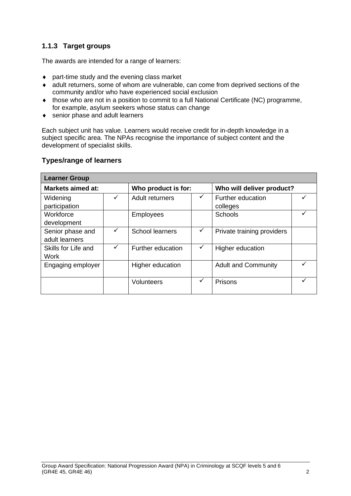### **1.1.3 Target groups**

The awards are intended for a range of learners:

- part-time study and the evening class market
- adult returners, some of whom are vulnerable, can come from deprived sections of the community and/or who have experienced social exclusion
- those who are not in a position to commit to a full National Certificate (NC) programme, for example, asylum seekers whose status can change
- ◆ senior phase and adult learners

Each subject unit has value. Learners would receive credit for in-depth knowledge in a subject specific area. The NPAs recognise the importance of subject content and the development of specialist skills.

#### **Types/range of learners**

| <b>Learner Group</b>               |              |                        |              |                               |  |  |  |
|------------------------------------|--------------|------------------------|--------------|-------------------------------|--|--|--|
| <b>Markets aimed at:</b>           |              | Who product is for:    |              | Who will deliver product?     |  |  |  |
| Widening<br>participation          | $\checkmark$ | Adult returners        | $\checkmark$ | Further education<br>colleges |  |  |  |
| Workforce<br>development           |              | <b>Employees</b>       |              | <b>Schools</b>                |  |  |  |
| Senior phase and<br>adult learners | ✓            | <b>School learners</b> |              | Private training providers    |  |  |  |
| Skills for Life and<br>Work        | $\checkmark$ | Further education      | ✓            | Higher education              |  |  |  |
| Engaging employer                  |              | Higher education       |              | <b>Adult and Community</b>    |  |  |  |
|                                    |              | Volunteers             | ✓            | Prisons                       |  |  |  |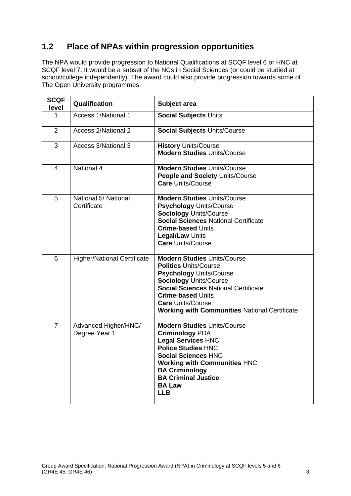## <span id="page-4-0"></span>**1.2 Place of NPAs within progression opportunities**

The NPA would provide progression to National Qualifications at SCQF level 6 or HNC at SCQF level 7. It would be a subset of the NCs in Social Sciences (or could be studied at school/college independently). The award could also provide progression towards some of The Open University programmes.

| <b>SCQF</b><br>level | Qualification                         | Subject area                                                                                                                                                                                                                                                                                         |
|----------------------|---------------------------------------|------------------------------------------------------------------------------------------------------------------------------------------------------------------------------------------------------------------------------------------------------------------------------------------------------|
| 1                    | Access 1/National 1                   | Social Subjects Units                                                                                                                                                                                                                                                                                |
| $\overline{2}$       | <b>Access 2/National 2</b>            | <b>Social Subjects Units/Course</b>                                                                                                                                                                                                                                                                  |
| 3                    | Access 3/National 3                   | <b>History Units/Course</b><br><b>Modern Studies Units/Course</b>                                                                                                                                                                                                                                    |
| 4                    | National 4                            | <b>Modern Studies Units/Course</b><br><b>People and Society Units/Course</b><br><b>Care Units/Course</b>                                                                                                                                                                                             |
| 5                    | National 5/ National<br>Certificate   | <b>Modern Studies Units/Course</b><br><b>Psychology Units/Course</b><br><b>Sociology Units/Course</b><br><b>Social Sciences National Certificate</b><br><b>Crime-based Units</b><br><b>Legal/Law Units</b><br><b>Care Units/Course</b>                                                               |
| 6                    | <b>Higher/National Certificate</b>    | <b>Modern Studies Units/Course</b><br><b>Politics Units/Course</b><br><b>Psychology Units/Course</b><br><b>Sociology Units/Course</b><br><b>Social Sciences National Certificate</b><br><b>Crime-based Units</b><br><b>Care Units/Course</b><br><b>Working with Communities National Certificate</b> |
| $\overline{7}$       | Advanced Higher/HNC/<br>Degree Year 1 | <b>Modern Studies Units/Course</b><br><b>Criminology PDA</b><br><b>Legal Services HNC</b><br><b>Police Studies HNC</b><br><b>Social Sciences HNC</b><br><b>Working with Communities HNC</b><br><b>BA Criminology</b><br><b>BA Criminal Justice</b><br><b>BA Law</b><br><b>LLB</b>                    |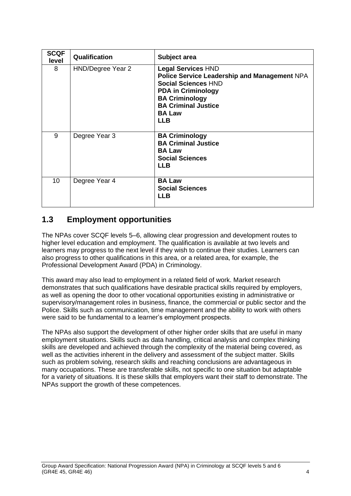| <b>SCQF</b><br>level | Qualification     | Subject area                                                                                                                                                                                                               |
|----------------------|-------------------|----------------------------------------------------------------------------------------------------------------------------------------------------------------------------------------------------------------------------|
| 8                    | HND/Degree Year 2 | <b>Legal Services HND</b><br>Police Service Leadership and Management NPA<br><b>Social Sciences HND</b><br><b>PDA in Criminology</b><br><b>BA Criminology</b><br><b>BA Criminal Justice</b><br><b>BA Law</b><br><b>LLB</b> |
| 9                    | Degree Year 3     | <b>BA Criminology</b><br><b>BA Criminal Justice</b><br><b>BA Law</b><br><b>Social Sciences</b><br><b>LLB</b>                                                                                                               |
| 10 <sup>1</sup>      | Degree Year 4     | <b>BA Law</b><br><b>Social Sciences</b><br><b>LLB</b>                                                                                                                                                                      |

### <span id="page-5-0"></span>**1.3 Employment opportunities**

The NPAs cover SCQF levels 5–6, allowing clear progression and development routes to higher level education and employment. The qualification is available at two levels and learners may progress to the next level if they wish to continue their studies. Learners can also progress to other qualifications in this area, or a related area, for example, the Professional Development Award (PDA) in Criminology.

This award may also lead to employment in a related field of work. Market research demonstrates that such qualifications have desirable practical skills required by employers, as well as opening the door to other vocational opportunities existing in administrative or supervisory/management roles in business, finance, the commercial or public sector and the Police. Skills such as communication, time management and the ability to work with others were said to be fundamental to a learner's employment prospects.

The NPAs also support the development of other higher order skills that are useful in many employment situations. Skills such as data handling, critical analysis and complex thinking skills are developed and achieved through the complexity of the material being covered, as well as the activities inherent in the delivery and assessment of the subject matter. Skills such as problem solving, research skills and reaching conclusions are advantageous in many occupations. These are transferable skills, not specific to one situation but adaptable for a variety of situations. It is these skills that employers want their staff to demonstrate. The NPAs support the growth of these competences.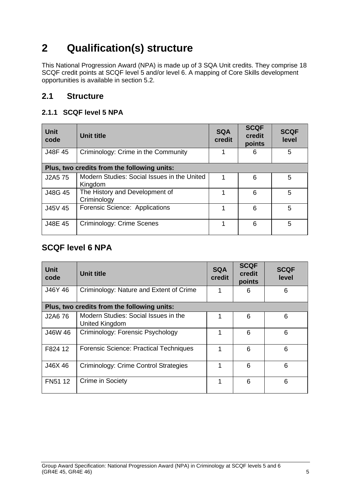# <span id="page-6-0"></span>**2 Qualification(s) structure**

This National Progression Award (NPA) is made up of 3 SQA Unit credits. They comprise 18 SCQF credit points at SCQF level 5 and/or level 6. A mapping of Core Skills development opportunities is available in section 5.2.

### <span id="page-6-1"></span>**2.1 Structure**

### **2.1.1 SCQF level 5 NPA**

| <b>Unit</b><br>code | <b>Unit title</b>                                      | <b>SQA</b><br>credit | <b>SCQF</b><br>credit<br>points | <b>SCQF</b><br>level |
|---------------------|--------------------------------------------------------|----------------------|---------------------------------|----------------------|
| J48F 45             | Criminology: Crime in the Community                    |                      | 6                               | 5                    |
|                     | Plus, two credits from the following units:            |                      |                                 |                      |
| J2A5 75             | Modern Studies: Social Issues in the United<br>Kingdom |                      | 6                               | 5                    |
| J48G 45             | The History and Development of<br>Criminology          |                      | 6                               | 5                    |
| J45V 45             | Forensic Science: Applications                         | 1                    | 6                               | 5                    |
| J48E 45             | Criminology: Crime Scenes                              | 1                    | 6                               | 5                    |

### **SCQF level 6 NPA**

| <b>Unit</b><br>code | <b>Unit title</b>                                      | <b>SQA</b><br>credit | <b>SCQF</b><br>credit<br>points | <b>SCQF</b><br>level |
|---------------------|--------------------------------------------------------|----------------------|---------------------------------|----------------------|
| J46Y 46             | Criminology: Nature and Extent of Crime                | 1                    | 6                               | 6                    |
|                     | Plus, two credits from the following units:            |                      |                                 |                      |
| J2A6 76             | Modern Studies: Social Issues in the<br>United Kingdom | 1                    | 6                               | 6                    |
| J46W 46             | Criminology: Forensic Psychology                       | 1                    | 6                               | 6                    |
| F824 12             | <b>Forensic Science: Practical Techniques</b>          | 1                    | 6                               | 6                    |
| J46X46              | Criminology: Crime Control Strategies                  | 1                    | 6                               | 6                    |
| FN51 12             | Crime in Society                                       | 1                    | 6                               | 6                    |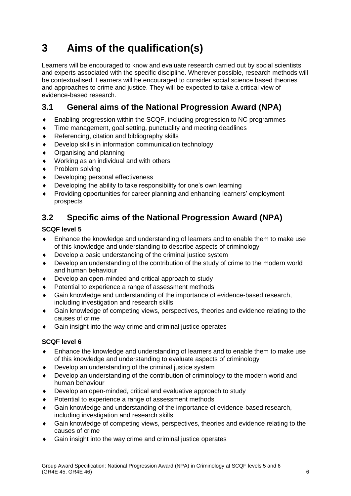# <span id="page-7-0"></span>**3 Aims of the qualification(s)**

Learners will be encouraged to know and evaluate research carried out by social scientists and experts associated with the specific discipline. Wherever possible, research methods will be contextualised. Learners will be encouraged to consider social science based theories and approaches to crime and justice. They will be expected to take a critical view of evidence-based research.

## <span id="page-7-1"></span>**3.1 General aims of the National Progression Award (NPA)**

- Enabling progression within the SCQF, including progression to NC programmes
- Time management, goal setting, punctuality and meeting deadlines
- ◆ Referencing, citation and bibliography skills
- Develop skills in information communication technology
- Organising and planning
- Working as an individual and with others
- ◆ Problem solving
- Developing personal effectiveness
- Developing the ability to take responsibility for one's own learning
- Providing opportunities for career planning and enhancing learners' employment prospects

## <span id="page-7-2"></span>**3.2 Specific aims of the National Progression Award (NPA)**

#### **SCQF level 5**

- Enhance the knowledge and understanding of learners and to enable them to make use of this knowledge and understanding to describe aspects of criminology
- Develop a basic understanding of the criminal justice system
- Develop an understanding of the contribution of the study of crime to the modern world and human behaviour
- Develop an open-minded and critical approach to study
- Potential to experience a range of assessment methods
- Gain knowledge and understanding of the importance of evidence-based research, including investigation and research skills
- Gain knowledge of competing views, perspectives, theories and evidence relating to the causes of crime
- Gain insight into the way crime and criminal justice operates

#### **SCQF level 6**

- Enhance the knowledge and understanding of learners and to enable them to make use of this knowledge and understanding to evaluate aspects of criminology
- Develop an understanding of the criminal justice system
- Develop an understanding of the contribution of criminology to the modern world and human behaviour
- Develop an open-minded, critical and evaluative approach to study
- Potential to experience a range of assessment methods
- Gain knowledge and understanding of the importance of evidence-based research, including investigation and research skills
- Gain knowledge of competing views, perspectives, theories and evidence relating to the causes of crime
- Gain insight into the way crime and criminal justice operates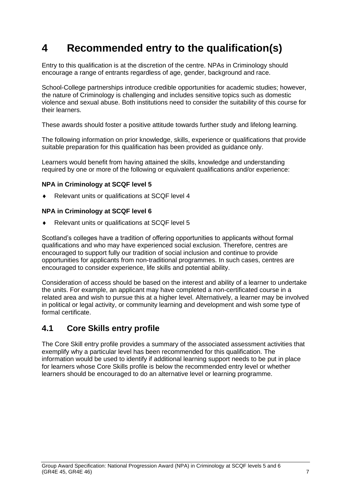# <span id="page-8-0"></span>**4 Recommended entry to the qualification(s)**

Entry to this qualification is at the discretion of the centre. NPAs in Criminology should encourage a range of entrants regardless of age, gender, background and race.

School-College partnerships introduce credible opportunities for academic studies; however, the nature of Criminology is challenging and includes sensitive topics such as domestic violence and sexual abuse. Both institutions need to consider the suitability of this course for their learners.

These awards should foster a positive attitude towards further study and lifelong learning.

The following information on prior knowledge, skills, experience or qualifications that provide suitable preparation for this qualification has been provided as guidance only.

Learners would benefit from having attained the skills, knowledge and understanding required by one or more of the following or equivalent qualifications and/or experience:

#### **NPA in Criminology at SCQF level 5**

Relevant units or qualifications at SCQF level 4

#### **NPA in Criminology at SCQF level 6**

Relevant units or qualifications at SCQF level 5

Scotland's colleges have a tradition of offering opportunities to applicants without formal qualifications and who may have experienced social exclusion. Therefore, centres are encouraged to support fully our tradition of social inclusion and continue to provide opportunities for applicants from non-traditional programmes. In such cases, centres are encouraged to consider experience, life skills and potential ability.

Consideration of access should be based on the interest and ability of a learner to undertake the units. For example, an applicant may have completed a non-certificated course in a related area and wish to pursue this at a higher level. Alternatively, a learner may be involved in political or legal activity, or community learning and development and wish some type of formal certificate.

### <span id="page-8-1"></span>**4.1 Core Skills entry profile**

The Core Skill entry profile provides a summary of the associated assessment activities that exemplify why a particular level has been recommended for this qualification. The information would be used to identify if additional learning support needs to be put in place for learners whose Core Skills profile is below the recommended entry level or whether learners should be encouraged to do an alternative level or learning programme.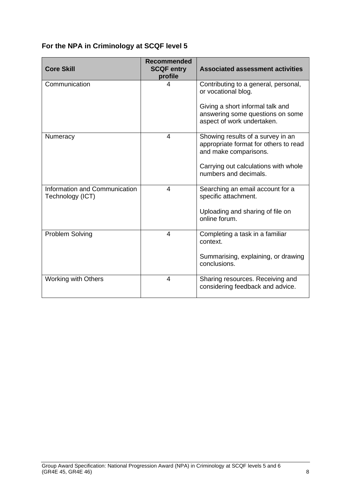### **For the NPA in Criminology at SCQF level 5**

| <b>Core Skill</b>                                 | <b>Recommended</b><br><b>SCQF entry</b><br>profile | <b>Associated assessment activities</b>                                                             |
|---------------------------------------------------|----------------------------------------------------|-----------------------------------------------------------------------------------------------------|
| Communication                                     | 4                                                  | Contributing to a general, personal,<br>or vocational blog.                                         |
|                                                   |                                                    | Giving a short informal talk and<br>answering some questions on some<br>aspect of work undertaken.  |
| Numeracy                                          | 4                                                  | Showing results of a survey in an<br>appropriate format for others to read<br>and make comparisons. |
|                                                   |                                                    | Carrying out calculations with whole<br>numbers and decimals.                                       |
| Information and Communication<br>Technology (ICT) | 4                                                  | Searching an email account for a<br>specific attachment.                                            |
|                                                   |                                                    | Uploading and sharing of file on<br>online forum.                                                   |
| <b>Problem Solving</b>                            | 4                                                  | Completing a task in a familiar<br>context.                                                         |
|                                                   |                                                    | Summarising, explaining, or drawing<br>conclusions.                                                 |
| <b>Working with Others</b>                        | 4                                                  | Sharing resources. Receiving and<br>considering feedback and advice.                                |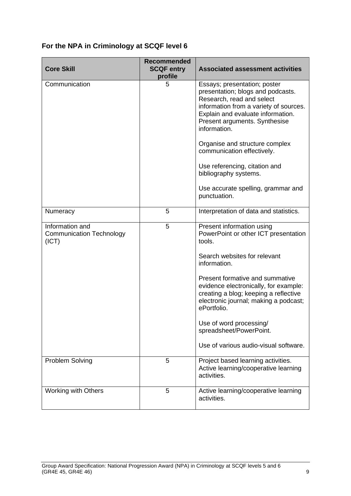### **For the NPA in Criminology at SCQF level 6**

| <b>Core Skill</b>                                           | <b>Recommended</b><br><b>SCQF entry</b><br>profile | <b>Associated assessment activities</b>                                                                                                                                                                                                                                                                                                                                                                        |
|-------------------------------------------------------------|----------------------------------------------------|----------------------------------------------------------------------------------------------------------------------------------------------------------------------------------------------------------------------------------------------------------------------------------------------------------------------------------------------------------------------------------------------------------------|
| Communication                                               | 5                                                  | Essays; presentation; poster<br>presentation; blogs and podcasts.<br>Research, read and select<br>information from a variety of sources.<br>Explain and evaluate information.<br>Present arguments. Synthesise<br>information.<br>Organise and structure complex<br>communication effectively.<br>Use referencing, citation and<br>bibliography systems.<br>Use accurate spelling, grammar and<br>punctuation. |
| Numeracy                                                    | 5                                                  | Interpretation of data and statistics.                                                                                                                                                                                                                                                                                                                                                                         |
| Information and<br><b>Communication Technology</b><br>(ICT) | 5                                                  | Present information using<br>PowerPoint or other ICT presentation<br>tools.<br>Search websites for relevant<br>information.<br>Present formative and summative<br>evidence electronically, for example:<br>creating a blog; keeping a reflective<br>electronic journal; making a podcast;<br>ePortfolio.<br>Use of word processing/                                                                            |
|                                                             |                                                    | spreadsheet/PowerPoint.<br>Use of various audio-visual software.                                                                                                                                                                                                                                                                                                                                               |
|                                                             | 5                                                  |                                                                                                                                                                                                                                                                                                                                                                                                                |
| Problem Solving                                             |                                                    | Project based learning activities.<br>Active learning/cooperative learning<br>activities.                                                                                                                                                                                                                                                                                                                      |
| <b>Working with Others</b>                                  | 5                                                  | Active learning/cooperative learning<br>activities.                                                                                                                                                                                                                                                                                                                                                            |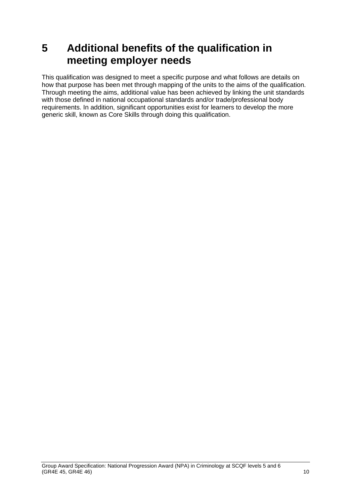# <span id="page-11-0"></span>**5 Additional benefits of the qualification in meeting employer needs**

This qualification was designed to meet a specific purpose and what follows are details on how that purpose has been met through mapping of the units to the aims of the qualification. Through meeting the aims, additional value has been achieved by linking the unit standards with those defined in national occupational standards and/or trade/professional body requirements. In addition, significant opportunities exist for learners to develop the more generic skill, known as Core Skills through doing this qualification.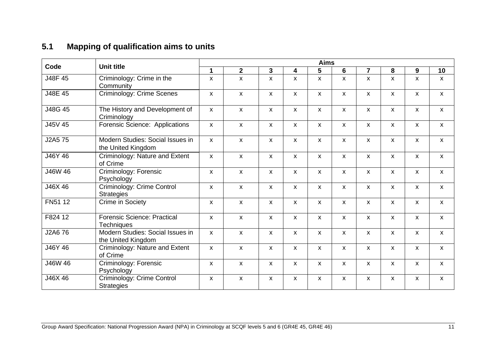## **5.1 Mapping of qualification aims to units**

<span id="page-12-0"></span>

|         |                                                        |                           |                    |                           |                    | <b>Aims</b>               |                           |                           |                           |                           |                           |
|---------|--------------------------------------------------------|---------------------------|--------------------|---------------------------|--------------------|---------------------------|---------------------------|---------------------------|---------------------------|---------------------------|---------------------------|
| Code    | <b>Unit title</b>                                      | 1                         | $\mathbf{2}$       | 3                         | 4                  | 5                         | 6                         | $\overline{7}$            | 8                         | 9                         | 10                        |
| J48F 45 | Criminology: Crime in the<br>Community                 | $\mathsf{x}$              | X                  | $\boldsymbol{\mathsf{x}}$ | X                  | X                         | X                         | $\mathsf{x}$              | $\boldsymbol{\mathsf{x}}$ | $\mathsf{x}$              | $\mathsf{x}$              |
| J48E 45 | <b>Criminology: Crime Scenes</b>                       | X                         | $\pmb{\mathsf{X}}$ | $\boldsymbol{\mathsf{x}}$ | $\pmb{\mathsf{X}}$ | $\mathsf{x}$              | X                         | $\boldsymbol{\mathsf{x}}$ | $\mathsf{x}$              | $\pmb{\chi}$              | $\boldsymbol{\mathsf{x}}$ |
| J48G 45 | The History and Development of<br>Criminology          | $\mathsf{x}$              | $\mathsf{x}$       | $\boldsymbol{\mathsf{x}}$ | $\mathsf{x}$       | $\mathsf{X}$              | $\mathsf{X}$              | $\mathsf{x}$              | $\boldsymbol{\mathsf{x}}$ | $\mathsf{x}$              | $\mathsf{x}$              |
| J45V 45 | Forensic Science: Applications                         | $\pmb{\chi}$              | X                  | $\pmb{\chi}$              | $\pmb{\chi}$       | $\boldsymbol{\mathsf{x}}$ | X                         | $\boldsymbol{\mathsf{x}}$ | $\pmb{\chi}$              | $\pmb{\chi}$              | $\boldsymbol{\mathsf{X}}$ |
| J2A5 75 | Modern Studies: Social Issues in<br>the United Kingdom | $\mathsf{x}$              | $\mathsf{x}$       | $\boldsymbol{\mathsf{x}}$ | $\mathsf{x}$       | $\mathsf{x}$              | <b>X</b>                  | $\boldsymbol{\mathsf{x}}$ | X                         | $\boldsymbol{\mathsf{x}}$ | $\boldsymbol{\mathsf{x}}$ |
| J46Y 46 | Criminology: Nature and Extent<br>of Crime             | $\mathsf{x}$              | $\mathsf{x}$       | $\boldsymbol{\mathsf{x}}$ | $\mathsf{x}$       | $\boldsymbol{\mathsf{x}}$ | $\mathsf{x}$              | $\mathsf{x}$              | $\boldsymbol{\mathsf{x}}$ | $\mathsf{x}$              | $\mathsf{x}$              |
| J46W 46 | Criminology: Forensic<br>Psychology                    | $\boldsymbol{\mathsf{x}}$ | $\mathsf{x}$       | $\boldsymbol{\mathsf{x}}$ | $\mathsf{x}$       | $\mathsf{x}$              | $\boldsymbol{\mathsf{x}}$ | $\mathsf{x}$              | $\mathsf{x}$              | $\mathsf{x}$              | $\mathsf{x}$              |
| J46X 46 | Criminology: Crime Control<br><b>Strategies</b>        | $\boldsymbol{\mathsf{x}}$ | $\mathsf{x}$       | $\boldsymbol{\mathsf{x}}$ | $\pmb{\chi}$       | $\boldsymbol{\mathsf{x}}$ | $\boldsymbol{\mathsf{x}}$ | $\boldsymbol{\mathsf{x}}$ | $\boldsymbol{\mathsf{x}}$ | $\pmb{\chi}$              | $\pmb{\mathsf{X}}$        |
| FN51 12 | Crime in Society                                       | $\mathsf{x}$              | $\mathsf{x}$       | $\boldsymbol{\mathsf{x}}$ | $\mathsf{x}$       | $\mathsf{x}$              | <b>X</b>                  | $\mathsf{x}$              | X                         | $\boldsymbol{\mathsf{x}}$ | $\mathsf{x}$              |
| F824 12 | <b>Forensic Science: Practical</b><br>Techniques       | $\mathsf{x}$              | $\mathsf{x}$       | $\boldsymbol{\mathsf{x}}$ | $\mathsf{x}$       | X                         | $\mathsf{x}$              | $\mathsf{x}$              | X                         | $\mathsf{x}$              | $\mathsf{x}$              |
| J2A6 76 | Modern Studies: Social Issues in<br>the United Kingdom | $\mathsf{x}$              | $\mathsf{x}$       | $\boldsymbol{\mathsf{x}}$ | $\mathsf{x}$       | $\mathsf{X}$              | $\mathsf{X}$              | $\mathsf{x}$              | X                         | $\mathsf{x}$              | $\mathsf{x}$              |
| J46Y 46 | Criminology: Nature and Extent<br>of Crime             | $\mathsf{X}$              | $\mathsf{x}$       | $\pmb{\chi}$              | $\mathsf{x}$       | X                         | $\mathsf{x}$              | $\pmb{\mathsf{X}}$        | X                         | X                         | $\pmb{\mathsf{X}}$        |
| J46W 46 | Criminology: Forensic<br>Psychology                    | X                         | X                  | $\mathsf{x}$              | $\mathsf{x}$       | X                         | $\mathsf{x}$              | $\boldsymbol{\mathsf{x}}$ | X                         | X                         | $\mathsf{x}$              |
| J46X 46 | Criminology: Crime Control<br><b>Strategies</b>        | X                         | $\pmb{\mathsf{X}}$ | X                         | $\pmb{\mathsf{X}}$ | X                         | X                         | $\pmb{\mathsf{X}}$        | X                         | X                         | $\pmb{\mathsf{X}}$        |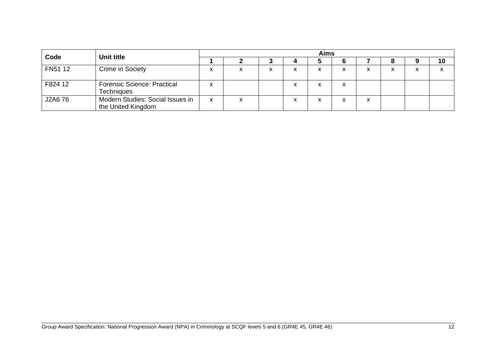| Code    | Unit title                                              |   | <b>Aims</b> |   |        |    |  |                   |                   |  |    |
|---------|---------------------------------------------------------|---|-------------|---|--------|----|--|-------------------|-------------------|--|----|
|         |                                                         |   |             |   |        | IJ |  |                   |                   |  | 10 |
| FN51 12 | Crime in Society                                        |   | х           | ⋏ | x      | x  |  | ⋏                 | $\checkmark$<br>́ |  | x  |
| F824 12 | <b>Forensic Science: Practical</b><br><b>Techniques</b> |   |             |   | v<br>́ | x  |  |                   |                   |  |    |
| J2A6 76 | Modern Studies: Social Issues in<br>the United Kingdom  | x | x           |   | v      | x  |  | $\checkmark$<br>⋏ |                   |  |    |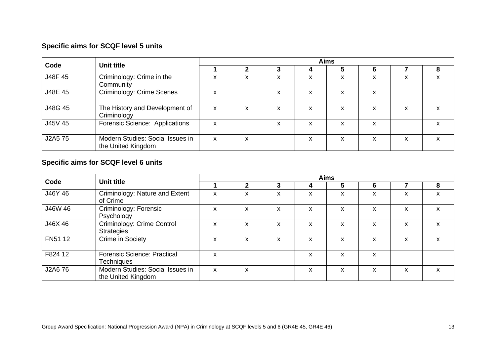## **Specific aims for SCQF level 5 units**

|         | Unit title                                             | <b>Aims</b> |   |           |   |   |   |   |  |  |
|---------|--------------------------------------------------------|-------------|---|-----------|---|---|---|---|--|--|
| Code    |                                                        |             |   |           |   | 5 | 6 |   |  |  |
| J48F 45 | Criminology: Crime in the<br>Community                 | X           | x | x         | X | X | X | x |  |  |
| J48E 45 | Criminology: Crime Scenes                              | X           |   | x         | X | X | X |   |  |  |
| J48G 45 | The History and Development of<br>Criminology          | X           | X | x         | x | X | X | x |  |  |
| J45V 45 | Forensic Science: Applications                         | X           |   | $\lambda$ | x | X | x |   |  |  |
| J2A5 75 | Modern Studies: Social Issues in<br>the United Kingdom | X           | X |           | X | x | x | x |  |  |

### **Specific aims for SCQF level 6 units**

|         | Unit title                                             |   |   |   |   | <b>Aims</b> |   |   |   |
|---------|--------------------------------------------------------|---|---|---|---|-------------|---|---|---|
| Code    |                                                        |   |   | 3 | 4 | 5           | 6 |   | 8 |
| J46Y 46 | Criminology: Nature and Extent<br>of Crime             | X | x | x | x | x           | x | X | x |
| J46W 46 | Criminology: Forensic<br>Psychology                    | X | X | x | X | X           | x | x | x |
| J46X 46 | Criminology: Crime Control<br><b>Strategies</b>        | X | X | x | x | x           | x | x | X |
| FN51 12 | Crime in Society                                       | X | x | x | x | X           | x | x | x |
| F824 12 | <b>Forensic Science: Practical</b><br>Techniques       | X |   |   | x | x           | x |   |   |
| J2A6 76 | Modern Studies: Social Issues in<br>the United Kingdom | X | X |   | x | x           | x | x | x |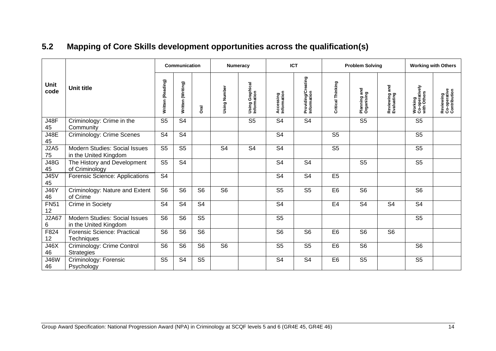<span id="page-15-0"></span>

|                     |                                                        | <b>Communication</b> |                   | Numeracy       |                | <b>ICT</b>                     |                          | <b>Problem Solving</b>            |                   | <b>Working with Others</b> |                             |                                          |                                           |
|---------------------|--------------------------------------------------------|----------------------|-------------------|----------------|----------------|--------------------------------|--------------------------|-----------------------------------|-------------------|----------------------------|-----------------------------|------------------------------------------|-------------------------------------------|
| <b>Unit</b><br>code | <b>Unit title</b>                                      | Written (Reading)    | Written (Writing) | Dral           | Using Number   | Using Graphical<br>Information | Accessing<br>Information | Providing/Creating<br>Information | Critical Thinking | Planning and<br>Organising | Reviewing and<br>Evaluating | Working<br>Co-operatively<br>with Others | Reviewing<br>Co-operative<br>Contribution |
| <b>J48F</b><br>45   | Criminology: Crime in the<br>Community                 | S <sub>5</sub>       | S <sub>4</sub>    |                |                | S <sub>5</sub>                 | S <sub>4</sub>           | S <sub>4</sub>                    |                   | S <sub>5</sub>             |                             | S <sub>5</sub>                           |                                           |
| <b>J48E</b><br>45   | Criminology: Crime Scenes                              | S <sub>4</sub>       | S <sub>4</sub>    |                |                |                                | S <sub>4</sub>           |                                   | S <sub>5</sub>    |                            |                             | S <sub>5</sub>                           |                                           |
| J2A5<br>75          | Modern Studies: Social Issues<br>in the United Kingdom | S <sub>5</sub>       | S <sub>5</sub>    |                | S <sub>4</sub> | S <sub>4</sub>                 | S <sub>4</sub>           |                                   | S <sub>5</sub>    |                            |                             | S <sub>5</sub>                           |                                           |
| <b>J48G</b><br>45   | The History and Development<br>of Criminology          | S <sub>5</sub>       | S <sub>4</sub>    |                |                |                                | S <sub>4</sub>           | S <sub>4</sub>                    |                   | S <sub>5</sub>             |                             | S <sub>5</sub>                           |                                           |
| <b>J45V</b><br>45   | <b>Forensic Science: Applications</b>                  | S <sub>4</sub>       |                   |                |                |                                | S <sub>4</sub>           | S <sub>4</sub>                    | E <sub>5</sub>    |                            |                             |                                          |                                           |
| <b>J46Y</b><br>46   | Criminology: Nature and Extent<br>of Crime             | S <sub>6</sub>       | S <sub>6</sub>    | S <sub>6</sub> | S <sub>6</sub> |                                | S <sub>5</sub>           | S <sub>5</sub>                    | E <sub>6</sub>    | S <sub>6</sub>             |                             | S <sub>6</sub>                           |                                           |
| <b>FN51</b><br>12   | Crime in Society                                       | S <sub>4</sub>       | S <sub>4</sub>    | S <sub>4</sub> |                |                                | S <sub>4</sub>           |                                   | E <sub>4</sub>    | S <sub>4</sub>             | S <sub>4</sub>              | S <sub>4</sub>                           |                                           |
| J2A67<br>6          | Modern Studies: Social Issues<br>in the United Kingdom | S <sub>6</sub>       | S <sub>6</sub>    | S <sub>5</sub> |                |                                | S <sub>5</sub>           |                                   |                   |                            |                             | S <sub>5</sub>                           |                                           |
| F824<br>12          | <b>Forensic Science: Practical</b><br>Techniques       | S <sub>6</sub>       | S <sub>6</sub>    | S <sub>6</sub> |                |                                | S <sub>6</sub>           | S <sub>6</sub>                    | E <sub>6</sub>    | S <sub>6</sub>             | S <sub>6</sub>              |                                          |                                           |
| J46X<br>46          | Criminology: Crime Control<br><b>Strategies</b>        | S <sub>6</sub>       | S <sub>6</sub>    | S <sub>6</sub> | S <sub>6</sub> |                                | S <sub>5</sub>           | S <sub>5</sub>                    | E <sub>6</sub>    | S <sub>6</sub>             |                             | S <sub>6</sub>                           |                                           |
| <b>J46W</b><br>46   | Criminology: Forensic<br>Psychology                    | S <sub>5</sub>       | S <sub>4</sub>    | S <sub>5</sub> |                |                                | S <sub>4</sub>           | S <sub>4</sub>                    | E <sub>6</sub>    | S <sub>5</sub>             |                             | S <sub>5</sub>                           |                                           |

## **5.2 Mapping of Core Skills development opportunities across the qualification(s)**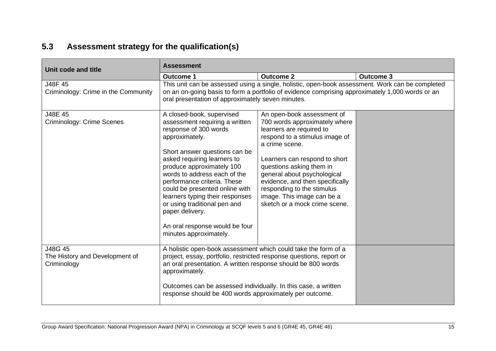## **5.3 Assessment strategy for the qualification(s)**

<span id="page-16-0"></span>

| Unit code and title                                      | <b>Assessment</b>                                                                                                                                                                                                                                                                                                                                                                                                                                      |                                                                                                                                                                                                                                                                                                                                                                         |                  |  |  |
|----------------------------------------------------------|--------------------------------------------------------------------------------------------------------------------------------------------------------------------------------------------------------------------------------------------------------------------------------------------------------------------------------------------------------------------------------------------------------------------------------------------------------|-------------------------------------------------------------------------------------------------------------------------------------------------------------------------------------------------------------------------------------------------------------------------------------------------------------------------------------------------------------------------|------------------|--|--|
|                                                          | <b>Outcome 1</b>                                                                                                                                                                                                                                                                                                                                                                                                                                       | <b>Outcome 2</b>                                                                                                                                                                                                                                                                                                                                                        | <b>Outcome 3</b> |  |  |
| J48F 45<br>Criminology: Crime in the Community           | This unit can be assessed using a single, holistic, open-book assessment. Work can be completed<br>on an on-going basis to form a portfolio of evidence comprising approximately 1,000 words or an<br>oral presentation of approximately seven minutes.                                                                                                                                                                                                |                                                                                                                                                                                                                                                                                                                                                                         |                  |  |  |
| J48E 45<br>Criminology: Crime Scenes                     | A closed-book, supervised<br>assessment requiring a written<br>response of 300 words<br>approximately.<br>Short answer questions can be<br>asked requiring learners to<br>produce approximately 100<br>words to address each of the<br>performance criteria. These<br>could be presented online with<br>learners typing their responses<br>or using traditional pen and<br>paper delivery.<br>An oral response would be four<br>minutes approximately. | An open-book assessment of<br>700 words approximately where<br>learners are required to<br>respond to a stimulus image of<br>a crime scene.<br>Learners can respond to short<br>questions asking them in<br>general about psychological<br>evidence, and then specifically<br>responding to the stimulus<br>image. This image can be a<br>sketch or a mock crime scene. |                  |  |  |
| J48G 45<br>The History and Development of<br>Criminology | A holistic open-book assessment which could take the form of a<br>project, essay, portfolio, restricted response questions, report or<br>an oral presentation. A written response should be 800 words<br>approximately.<br>Outcomes can be assessed individually. In this case, a written<br>response should be 400 words approximately per outcome.                                                                                                   |                                                                                                                                                                                                                                                                                                                                                                         |                  |  |  |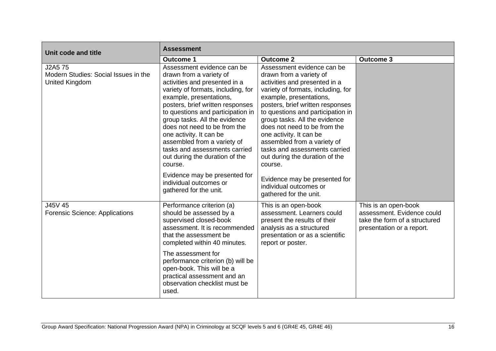| Unit code and title                                               | <b>Assessment</b>                                                                                                                                                                                                                                                                                                                                                                                                                         |                                                                                                                                                                                                                                                                                                                                                                                                                                           |                                                                                                                  |  |  |
|-------------------------------------------------------------------|-------------------------------------------------------------------------------------------------------------------------------------------------------------------------------------------------------------------------------------------------------------------------------------------------------------------------------------------------------------------------------------------------------------------------------------------|-------------------------------------------------------------------------------------------------------------------------------------------------------------------------------------------------------------------------------------------------------------------------------------------------------------------------------------------------------------------------------------------------------------------------------------------|------------------------------------------------------------------------------------------------------------------|--|--|
|                                                                   | <b>Outcome 1</b>                                                                                                                                                                                                                                                                                                                                                                                                                          | <b>Outcome 2</b>                                                                                                                                                                                                                                                                                                                                                                                                                          | <b>Outcome 3</b>                                                                                                 |  |  |
| J2A5 75<br>Modern Studies: Social Issues in the<br>United Kingdom | Assessment evidence can be<br>drawn from a variety of<br>activities and presented in a<br>variety of formats, including, for<br>example, presentations,<br>posters, brief written responses<br>to questions and participation in<br>group tasks. All the evidence<br>does not need to be from the<br>one activity. It can be<br>assembled from a variety of<br>tasks and assessments carried<br>out during the duration of the<br>course. | Assessment evidence can be<br>drawn from a variety of<br>activities and presented in a<br>variety of formats, including, for<br>example, presentations,<br>posters, brief written responses<br>to questions and participation in<br>group tasks. All the evidence<br>does not need to be from the<br>one activity. It can be<br>assembled from a variety of<br>tasks and assessments carried<br>out during the duration of the<br>course. |                                                                                                                  |  |  |
|                                                                   | Evidence may be presented for<br>individual outcomes or<br>gathered for the unit.                                                                                                                                                                                                                                                                                                                                                         | Evidence may be presented for<br>individual outcomes or<br>gathered for the unit.                                                                                                                                                                                                                                                                                                                                                         |                                                                                                                  |  |  |
| J45V 45<br><b>Forensic Science: Applications</b>                  | Performance criterion (a)<br>should be assessed by a<br>supervised closed-book<br>assessment. It is recommended<br>that the assessment be<br>completed within 40 minutes.                                                                                                                                                                                                                                                                 | This is an open-book<br>assessment. Learners could<br>present the results of their<br>analysis as a structured<br>presentation or as a scientific<br>report or poster.                                                                                                                                                                                                                                                                    | This is an open-book<br>assessment. Evidence could<br>take the form of a structured<br>presentation or a report. |  |  |
|                                                                   | The assessment for<br>performance criterion (b) will be<br>open-book. This will be a<br>practical assessment and an<br>observation checklist must be<br>used.                                                                                                                                                                                                                                                                             |                                                                                                                                                                                                                                                                                                                                                                                                                                           |                                                                                                                  |  |  |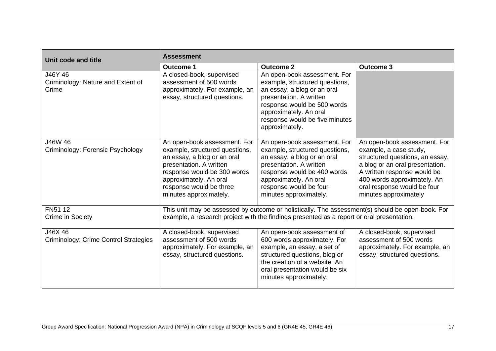| Unit code and title                                   | <b>Assessment</b>                                                                                                                                                                                                                      |                                                                                                                                                                                                                                       |                                                                                                                                                                                                                                                    |  |  |
|-------------------------------------------------------|----------------------------------------------------------------------------------------------------------------------------------------------------------------------------------------------------------------------------------------|---------------------------------------------------------------------------------------------------------------------------------------------------------------------------------------------------------------------------------------|----------------------------------------------------------------------------------------------------------------------------------------------------------------------------------------------------------------------------------------------------|--|--|
|                                                       | <b>Outcome 1</b>                                                                                                                                                                                                                       | <b>Outcome 2</b>                                                                                                                                                                                                                      | <b>Outcome 3</b>                                                                                                                                                                                                                                   |  |  |
| J46Y 46<br>Criminology: Nature and Extent of<br>Crime | A closed-book, supervised<br>assessment of 500 words<br>approximately. For example, an<br>essay, structured questions.                                                                                                                 | An open-book assessment. For<br>example, structured questions,<br>an essay, a blog or an oral<br>presentation. A written<br>response would be 500 words<br>approximately. An oral<br>response would be five minutes<br>approximately. |                                                                                                                                                                                                                                                    |  |  |
| J46W 46<br>Criminology: Forensic Psychology           | An open-book assessment. For<br>example, structured questions,<br>an essay, a blog or an oral<br>presentation. A written<br>response would be 300 words<br>approximately. An oral<br>response would be three<br>minutes approximately. | An open-book assessment. For<br>example, structured questions,<br>an essay, a blog or an oral<br>presentation. A written<br>response would be 400 words<br>approximately. An oral<br>response would be four<br>minutes approximately. | An open-book assessment. For<br>example, a case study,<br>structured questions, an essay,<br>a blog or an oral presentation.<br>A written response would be<br>400 words approximately. An<br>oral response would be four<br>minutes approximately |  |  |
| FN51 12<br>Crime in Society                           | This unit may be assessed by outcome or holistically. The assessment(s) should be open-book. For<br>example, a research project with the findings presented as a report or oral presentation.                                          |                                                                                                                                                                                                                                       |                                                                                                                                                                                                                                                    |  |  |
| J46X 46<br>Criminology: Crime Control Strategies      | A closed-book, supervised<br>assessment of 500 words<br>approximately. For example, an<br>essay, structured questions.                                                                                                                 | An open-book assessment of<br>600 words approximately. For<br>example, an essay, a set of<br>structured questions, blog or<br>the creation of a website. An<br>oral presentation would be six<br>minutes approximately.               | A closed-book, supervised<br>assessment of 500 words<br>approximately. For example, an<br>essay, structured questions.                                                                                                                             |  |  |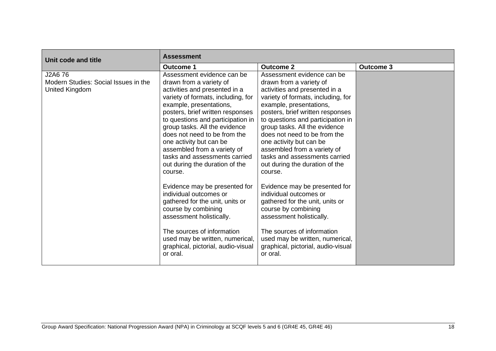| Unit code and title                                               | <b>Assessment</b>                                                                                                                                                                                                                                                                                                                                                                                                                                                                                                                                                                                                                                                                                 |                                                                                                                                                                                                                                                                                                                                                                                                                                                                                                                                                                                                                                                                                                   |                  |  |  |
|-------------------------------------------------------------------|---------------------------------------------------------------------------------------------------------------------------------------------------------------------------------------------------------------------------------------------------------------------------------------------------------------------------------------------------------------------------------------------------------------------------------------------------------------------------------------------------------------------------------------------------------------------------------------------------------------------------------------------------------------------------------------------------|---------------------------------------------------------------------------------------------------------------------------------------------------------------------------------------------------------------------------------------------------------------------------------------------------------------------------------------------------------------------------------------------------------------------------------------------------------------------------------------------------------------------------------------------------------------------------------------------------------------------------------------------------------------------------------------------------|------------------|--|--|
|                                                                   | <b>Outcome 1</b>                                                                                                                                                                                                                                                                                                                                                                                                                                                                                                                                                                                                                                                                                  | <b>Outcome 2</b>                                                                                                                                                                                                                                                                                                                                                                                                                                                                                                                                                                                                                                                                                  | <b>Outcome 3</b> |  |  |
| J2A6 76<br>Modern Studies: Social Issues in the<br>United Kingdom | Assessment evidence can be<br>drawn from a variety of<br>activities and presented in a<br>variety of formats, including, for<br>example, presentations,<br>posters, brief written responses<br>to questions and participation in<br>group tasks. All the evidence<br>does not need to be from the<br>one activity but can be<br>assembled from a variety of<br>tasks and assessments carried<br>out during the duration of the<br>course.<br>Evidence may be presented for<br>individual outcomes or<br>gathered for the unit, units or<br>course by combining<br>assessment holistically.<br>The sources of information<br>used may be written, numerical,<br>graphical, pictorial, audio-visual | Assessment evidence can be<br>drawn from a variety of<br>activities and presented in a<br>variety of formats, including, for<br>example, presentations,<br>posters, brief written responses<br>to questions and participation in<br>group tasks. All the evidence<br>does not need to be from the<br>one activity but can be<br>assembled from a variety of<br>tasks and assessments carried<br>out during the duration of the<br>course.<br>Evidence may be presented for<br>individual outcomes or<br>gathered for the unit, units or<br>course by combining<br>assessment holistically.<br>The sources of information<br>used may be written, numerical,<br>graphical, pictorial, audio-visual |                  |  |  |
|                                                                   | or oral.                                                                                                                                                                                                                                                                                                                                                                                                                                                                                                                                                                                                                                                                                          | or oral.                                                                                                                                                                                                                                                                                                                                                                                                                                                                                                                                                                                                                                                                                          |                  |  |  |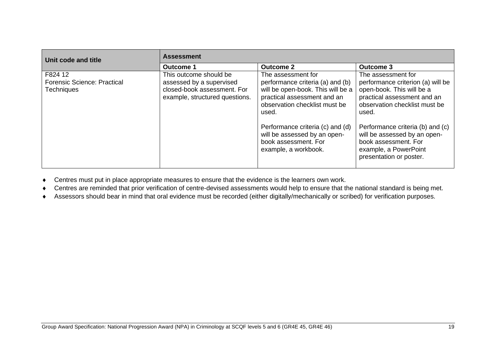| Unit code and title                                                | <b>Assessment</b>                                                                                                   |                                                                                                                                                                                                                                                                                          |                                                                                                                                                                                                                                                                                                               |  |  |
|--------------------------------------------------------------------|---------------------------------------------------------------------------------------------------------------------|------------------------------------------------------------------------------------------------------------------------------------------------------------------------------------------------------------------------------------------------------------------------------------------|---------------------------------------------------------------------------------------------------------------------------------------------------------------------------------------------------------------------------------------------------------------------------------------------------------------|--|--|
|                                                                    | Outcome 1                                                                                                           | <b>Outcome 2</b>                                                                                                                                                                                                                                                                         | <b>Outcome 3</b>                                                                                                                                                                                                                                                                                              |  |  |
| F824 12<br><b>Forensic Science: Practical</b><br><b>Techniques</b> | This outcome should be<br>assessed by a supervised<br>closed-book assessment. For<br>example, structured questions. | The assessment for<br>performance criteria (a) and (b)<br>will be open-book. This will be a<br>practical assessment and an<br>observation checklist must be<br>used.<br>Performance criteria (c) and (d)<br>will be assessed by an open-<br>book assessment. For<br>example, a workbook. | The assessment for<br>performance criterion (a) will be<br>open-book. This will be a<br>practical assessment and an<br>observation checklist must be<br>used.<br>Performance criteria (b) and (c)<br>will be assessed by an open-<br>book assessment. For<br>example, a PowerPoint<br>presentation or poster. |  |  |

Centres must put in place appropriate measures to ensure that the evidence is the learners own work.

Centres are reminded that prior verification of centre-devised assessments would help to ensure that the national standard is being met.

Assessors should bear in mind that oral evidence must be recorded (either digitally/mechanically or scribed) for verification purposes.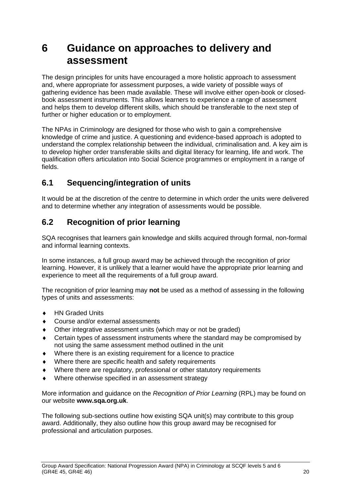# <span id="page-21-0"></span>**6 Guidance on approaches to delivery and assessment**

The design principles for units have encouraged a more holistic approach to assessment and, where appropriate for assessment purposes, a wide variety of possible ways of gathering evidence has been made available. These will involve either open-book or closedbook assessment instruments. This allows learners to experience a range of assessment and helps them to develop different skills, which should be transferable to the next step of further or higher education or to employment.

The NPAs in Criminology are designed for those who wish to gain a comprehensive knowledge of crime and justice. A questioning and evidence-based approach is adopted to understand the complex relationship between the individual, criminalisation and. A key aim is to develop higher order transferable skills and digital literacy for learning, life and work. The qualification offers articulation into Social Science programmes or employment in a range of fields.

### <span id="page-21-1"></span>**6.1 Sequencing/integration of units**

It would be at the discretion of the centre to determine in which order the units were delivered and to determine whether any integration of assessments would be possible.

### <span id="page-21-2"></span>**6.2 Recognition of prior learning**

SQA recognises that learners gain knowledge and skills acquired through formal, non-formal and informal learning contexts.

In some instances, a full group award may be achieved through the recognition of prior learning. However, it is unlikely that a learner would have the appropriate prior learning and experience to meet all the requirements of a full group award.

The recognition of prior learning may **not** be used as a method of assessing in the following types of units and assessments:

- ◆ HN Graded Units
- ◆ Course and/or external assessments
- Other integrative assessment units (which may or not be graded)
- Certain types of assessment instruments where the standard may be compromised by not using the same assessment method outlined in the unit
- Where there is an existing requirement for a licence to practice
- Where there are specific health and safety requirements
- Where there are regulatory, professional or other statutory requirements
- Where otherwise specified in an assessment strategy

More information and guidance on the *Recognition of Prior Learning* (RPL) may be found on our website **[www.sqa.org.uk](http://www.sqa.org.uk/)**.

The following sub-sections outline how existing SQA unit(s) may contribute to this group award. Additionally, they also outline how this group award may be recognised for professional and articulation purposes.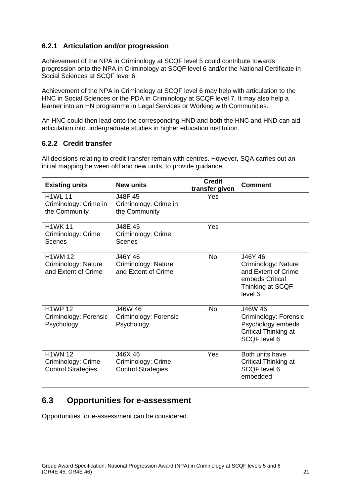### **6.2.1 Articulation and/or progression**

Achievement of the NPA in Criminology at SCQF level 5 could contribute towards progression onto the NPA in Criminology at SCQF level 6 and/or the National Certificate in Social Sciences at SCQF level 6.

Achievement of the NPA in Criminology at SCQF level 6 may help with articulation to the HNC in Social Sciences or the PDA in Criminology at SCQF level 7. It may also help a learner into an HN programme in Legal Services or Working with Communities.

An HNC could then lead onto the corresponding HND and both the HNC and HND can aid articulation into undergraduate studies in higher education institution.

#### **6.2.2 Credit transfer**

All decisions relating to credit transfer remain with centres. However, SQA carries out an initial mapping between old and new units, to provide guidance.

| <b>Existing units</b>                                             | <b>New units</b>                                           | <b>Credit</b><br>transfer given | <b>Comment</b>                                                                                          |
|-------------------------------------------------------------------|------------------------------------------------------------|---------------------------------|---------------------------------------------------------------------------------------------------------|
| <b>H1WL 11</b><br>Criminology: Crime in<br>the Community          | J48F 45<br>Criminology: Crime in<br>the Community          | Yes                             |                                                                                                         |
| <b>H1WK 11</b><br>Criminology: Crime<br>Scenes                    | J48E 45<br>Criminology: Crime<br>Scenes                    | Yes                             |                                                                                                         |
| <b>H1WM 12</b><br>Criminology: Nature<br>and Extent of Crime      | J46Y 46<br>Criminology: Nature<br>and Extent of Crime      | <b>No</b>                       | J46Y 46<br>Criminology: Nature<br>and Extent of Crime<br>embeds Critical<br>Thinking at SCQF<br>level 6 |
| <b>H1WP 12</b><br>Criminology: Forensic<br>Psychology             | J46W 46<br>Criminology: Forensic<br>Psychology             | <b>No</b>                       | J46W 46<br>Criminology: Forensic<br>Psychology embeds<br>Critical Thinking at<br>SCQF level 6           |
| <b>H1WN 12</b><br>Criminology: Crime<br><b>Control Strategies</b> | J46X 46<br>Criminology: Crime<br><b>Control Strategies</b> | Yes                             | Both units have<br><b>Critical Thinking at</b><br>SCQF level 6<br>embedded                              |

### <span id="page-22-0"></span>**6.3 Opportunities for e-assessment**

Opportunities for e-assessment can be considered.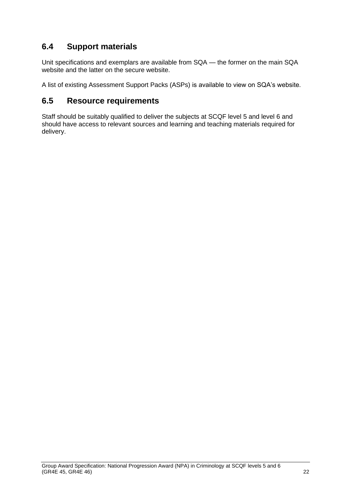### <span id="page-23-0"></span>**6.4 Support materials**

Unit specifications and exemplars are available from SQA — the former on the main SQA website and the latter on the secure website.

A list of existing Assessment Support Packs (ASPs) is available to view on SQA's website.

### <span id="page-23-1"></span>**6.5 Resource requirements**

Staff should be suitably qualified to deliver the subjects at SCQF level 5 and level 6 and should have access to relevant sources and learning and teaching materials required for delivery.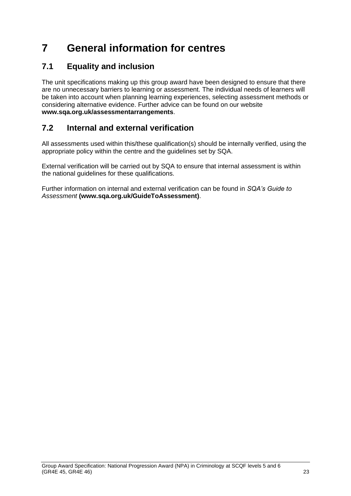# <span id="page-24-0"></span>**7 General information for centres**

## <span id="page-24-1"></span>**7.1 Equality and inclusion**

The unit specifications making up this group award have been designed to ensure that there are no unnecessary barriers to learning or assessment. The individual needs of learners will be taken into account when planning learning experiences, selecting assessment methods or considering alternative evidence. Further advice can be found on our website **[www.sqa.org.uk/assessmentarrangements](http://www.sqa.org.uk/sqa/14977.html)**.

## <span id="page-24-2"></span>**7.2 Internal and external verification**

All assessments used within this/these qualification(s) should be internally verified, using the appropriate policy within the centre and the guidelines set by SQA.

External verification will be carried out by SQA to ensure that internal assessment is within the national guidelines for these qualifications.

Further information on internal and external verification can be found in *SQA's Guide to Assessment* **[\(www.sqa.org.uk/GuideToAssessment\)](http://www.sqa.org.uk/sqa/files_ccc/GuideToAssessment.pdf)**.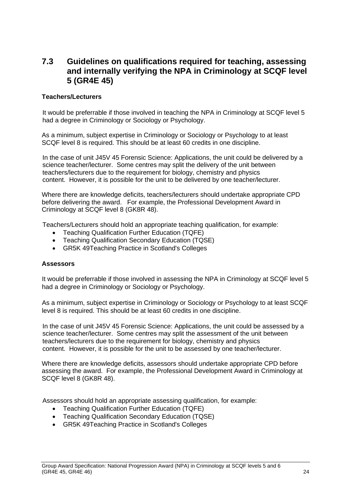### <span id="page-25-0"></span>**7.3 Guidelines on qualifications required for teaching, assessing and internally verifying the NPA in Criminology at SCQF level 5 (GR4E 45)**

#### **Teachers/Lecturers**

It would be preferrable if those involved in teaching the NPA in Criminology at SCQF level 5 had a degree in Criminology or Sociology or Psychology.

As a minimum, subject expertise in Criminology or Sociology or Psychology to at least SCQF level 8 is required. This should be at least 60 credits in one discipline.

In the case of unit J45V 45 Forensic Science: Applications, the unit could be delivered by a science teacher/lecturer. Some centres may split the delivery of the unit between teachers/lecturers due to the requirement for biology, chemistry and physics content. However, it is possible for the unit to be delivered by one teacher/lecturer.

Where there are knowledge deficits, teachers/lecturers should undertake appropriate CPD before delivering the award. For example, the Professional Development Award in Criminology at SCQF level 8 (GK8R 48).

Teachers/Lecturers should hold an appropriate teaching qualification, for example:

- Teaching Qualification Further Education (TQFE)
- Teaching Qualification Secondary Education (TQSE)
- GR5K 49Teaching Practice in Scotland's Colleges

#### **Assessors**

It would be preferrable if those involved in assessing the NPA in Criminology at SCQF level 5 had a degree in Criminology or Sociology or Psychology.

As a minimum, subject expertise in Criminology or Sociology or Psychology to at least SCQF level 8 is required. This should be at least 60 credits in one discipline.

In the case of unit J45V 45 Forensic Science: Applications, the unit could be assessed by a science teacher/lecturer. Some centres may split the assessment of the unit between teachers/lecturers due to the requirement for biology, chemistry and physics content. However, it is possible for the unit to be assessed by one teacher/lecturer.

Where there are knowledge deficits, assessors should undertake appropriate CPD before assessing the award. For example, the Professional Development Award in Criminology at SCQF level 8 (GK8R 48).

Assessors should hold an appropriate assessing qualification, for example:

- Teaching Qualification Further Education (TQFE)
- Teaching Qualification Secondary Education (TQSE)
- GR5K 49Teaching Practice in Scotland's Colleges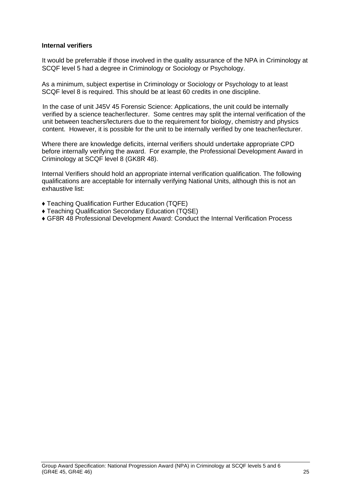#### <span id="page-26-0"></span>**Internal verifiers**

It would be preferrable if those involved in the quality assurance of the NPA in Criminology at SCQF level 5 had a degree in Criminology or Sociology or Psychology.

As a minimum, subject expertise in Criminology or Sociology or Psychology to at least SCQF level 8 is required. This should be at least 60 credits in one discipline.

In the case of unit J45V 45 Forensic Science: Applications, the unit could be internally verified by a science teacher/lecturer. Some centres may split the internal verification of the unit between teachers/lecturers due to the requirement for biology, chemistry and physics content. However, it is possible for the unit to be internally verified by one teacher/lecturer.

Where there are knowledge deficits, internal verifiers should undertake appropriate CPD before internally verifying the award. For example, the Professional Development Award in Criminology at SCQF level 8 (GK8R 48).

Internal Verifiers should hold an appropriate internal verification qualification. The following qualifications are acceptable for internally verifying National Units, although this is not an exhaustive list:

- ♦ Teaching Qualification Further Education (TQFE)
- ♦ Teaching Qualification Secondary Education (TQSE)
- ♦ GF8R 48 Professional Development Award: Conduct the Internal Verification Process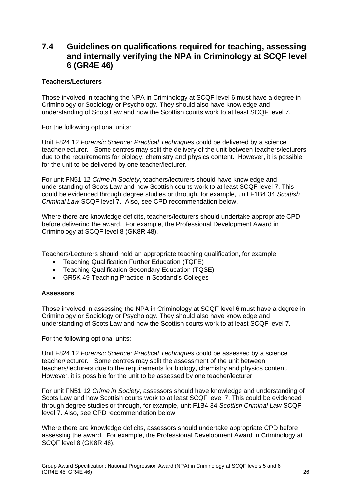### <span id="page-27-0"></span>**7.4 Guidelines on qualifications required for teaching, assessing and internally verifying the NPA in Criminology at SCQF level 6 (GR4E 46)**

#### **Teachers/Lecturers**

Those involved in teaching the NPA in Criminology at SCQF level 6 must have a degree in Criminology or Sociology or Psychology. They should also have knowledge and understanding of Scots Law and how the Scottish courts work to at least SCQF level 7.

For the following optional units:

Unit F824 12 *Forensic Science: Practical Techniques* could be delivered by a science teacher/lecturer. Some centres may split the delivery of the unit between teachers/lecturers due to the requirements for biology, chemistry and physics content. However, it is possible for the unit to be delivered by one teacher/lecturer.

For unit FN51 12 *Crime in Society*, teachers/lecturers should have knowledge and understanding of Scots Law and how Scottish courts work to at least SCQF level 7. This could be evidenced through degree studies or through, for example, unit F1B4 34 *Scottish Criminal Law* SCQF level 7. Also, see CPD recommendation below.

Where there are knowledge deficits, teachers/lecturers should undertake appropriate CPD before delivering the award. For example, the Professional Development Award in Criminology at SCQF level 8 (GK8R 48).

Teachers/Lecturers should hold an appropriate teaching qualification, for example:

- Teaching Qualification Further Education (TQFE)
- Teaching Qualification Secondary Education (TQSE)
- GR5K 49 Teaching Practice in Scotland's Colleges

#### **Assessors**

Those involved in assessing the NPA in Criminology at SCQF level 6 must have a degree in Criminology or Sociology or Psychology. They should also have knowledge and understanding of Scots Law and how the Scottish courts work to at least SCQF level 7.

For the following optional units:

Unit F824 12 *Forensic Science: Practical Techniques* could be assessed by a science teacher/lecturer. Some centres may split the assessment of the unit between teachers/lecturers due to the requirements for biology, chemistry and physics content. However, it is possible for the unit to be assessed by one teacher/lecturer.

For unit FN51 12 *Crime in Society*, assessors should have knowledge and understanding of Scots Law and how Scottish courts work to at least SCQF level 7. This could be evidenced through degree studies or through, for example, unit F1B4 34 *Scottish Criminal Law* SCQF level 7. Also, see CPD recommendation below.

Where there are knowledge deficits, assessors should undertake appropriate CPD before assessing the award. For example, the Professional Development Award in Criminology at SCQF level 8 (GK8R 48).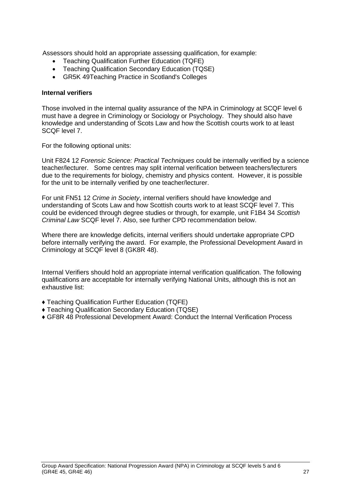Assessors should hold an appropriate assessing qualification, for example:

- Teaching Qualification Further Education (TQFE)
- Teaching Qualification Secondary Education (TQSE)
- GR5K 49Teaching Practice in Scotland's Colleges

#### **Internal verifiers**

Those involved in the internal quality assurance of the NPA in Criminology at SCQF level 6 must have a degree in Criminology or Sociology or Psychology. They should also have knowledge and understanding of Scots Law and how the Scottish courts work to at least SCQF level 7.

For the following optional units:

Unit F824 12 *Forensic Science: Practical Techniques* could be internally verified by a science teacher/lecturer. Some centres may split internal verification between teachers/lecturers due to the requirements for biology, chemistry and physics content. However, it is possible for the unit to be internally verified by one teacher/lecturer.

For unit FN51 12 *Crime in Society*, internal verifiers should have knowledge and understanding of Scots Law and how Scottish courts work to at least SCQF level 7. This could be evidenced through degree studies or through, for example, unit F1B4 34 *Scottish Criminal Law* SCQF level 7. Also, see further CPD recommendation below.

Where there are knowledge deficits, internal verifiers should undertake appropriate CPD before internally verifying the award. For example, the Professional Development Award in Criminology at SCQF level 8 (GK8R 48).

Internal Verifiers should hold an appropriate internal verification qualification. The following qualifications are acceptable for internally verifying National Units, although this is not an exhaustive list:

- ♦ Teaching Qualification Further Education (TQFE)
- ♦ Teaching Qualification Secondary Education (TQSE)
- ♦ GF8R 48 Professional Development Award: Conduct the Internal Verification Process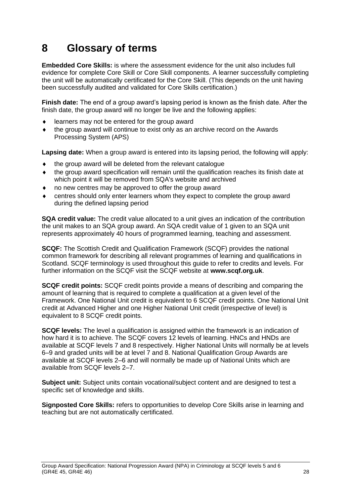# <span id="page-29-0"></span>**8 Glossary of terms**

**Embedded Core Skills:** is where the assessment evidence for the unit also includes full evidence for complete Core Skill or Core Skill components. A learner successfully completing the unit will be automatically certificated for the Core Skill. (This depends on the unit having been successfully audited and validated for Core Skills certification.)

**Finish date:** The end of a group award's lapsing period is known as the finish date. After the finish date, the group award will no longer be live and the following applies:

- learners may not be entered for the group award
- the group award will continue to exist only as an archive record on the Awards Processing System (APS)

**Lapsing date:** When a group award is entered into its lapsing period, the following will apply:

- $\bullet$  the group award will be deleted from the relevant catalogue
- the group award specification will remain until the qualification reaches its finish date at which point it will be removed from SQA's website and archived
- no new centres may be approved to offer the group award
- centres should only enter learners whom they expect to complete the group award during the defined lapsing period

**SQA credit value:** The credit value allocated to a unit gives an indication of the contribution the unit makes to an SQA group award. An SQA credit value of 1 given to an SQA unit represents approximately 40 hours of programmed learning, teaching and assessment.

**SCQF:** The Scottish Credit and Qualification Framework (SCQF) provides the national common framework for describing all relevant programmes of learning and qualifications in Scotland. SCQF terminology is used throughout this guide to refer to credits and levels. For further information on the SCQF visit the SCQF website at **[www.scqf.org.uk](http://www.scqf.org.uk/)**.

**SCQF credit points:** SCQF credit points provide a means of describing and comparing the amount of learning that is required to complete a qualification at a given level of the Framework. One National Unit credit is equivalent to 6 SCQF credit points. One National Unit credit at Advanced Higher and one Higher National Unit credit (irrespective of level) is equivalent to 8 SCQF credit points.

**SCQF levels:** The level a qualification is assigned within the framework is an indication of how hard it is to achieve. The SCQF covers 12 levels of learning. HNCs and HNDs are available at SCQF levels 7 and 8 respectively. Higher National Units will normally be at levels 6–9 and graded units will be at level 7 and 8. National Qualification Group Awards are available at SCQF levels 2–6 and will normally be made up of National Units which are available from SCQF levels 2–7.

**Subject unit:** Subject units contain vocational/subject content and are designed to test a specific set of knowledge and skills.

**Signposted Core Skills:** refers to opportunities to develop Core Skills arise in learning and teaching but are not automatically certificated.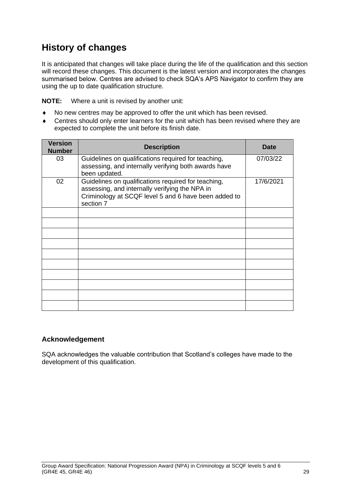## **History of changes**

It is anticipated that changes will take place during the life of the qualification and this section will record these changes. This document is the latest version and incorporates the changes summarised below. Centres are advised to check SQA's APS Navigator to confirm they are using the up to date qualification structure.

**NOTE:** Where a unit is revised by another unit:

- No new centres may be approved to offer the unit which has been revised.
- Centres should only enter learners for the unit which has been revised where they are expected to complete the unit before its finish date.

| <b>Version</b><br><b>Number</b> | <b>Description</b>                                                                                                                                                         | <b>Date</b> |
|---------------------------------|----------------------------------------------------------------------------------------------------------------------------------------------------------------------------|-------------|
| 03                              | Guidelines on qualifications required for teaching,<br>assessing, and internally verifying both awards have<br>been updated.                                               | 07/03/22    |
| 02                              | Guidelines on qualifications required for teaching,<br>assessing, and internally verifying the NPA in<br>Criminology at SCQF level 5 and 6 have been added to<br>section 7 | 17/6/2021   |
|                                 |                                                                                                                                                                            |             |
|                                 |                                                                                                                                                                            |             |
|                                 |                                                                                                                                                                            |             |
|                                 |                                                                                                                                                                            |             |
|                                 |                                                                                                                                                                            |             |
|                                 |                                                                                                                                                                            |             |
|                                 |                                                                                                                                                                            |             |
|                                 |                                                                                                                                                                            |             |
|                                 |                                                                                                                                                                            |             |
|                                 |                                                                                                                                                                            |             |

#### **Acknowledgement**

SQA acknowledges the valuable contribution that Scotland's colleges have made to the development of this qualification.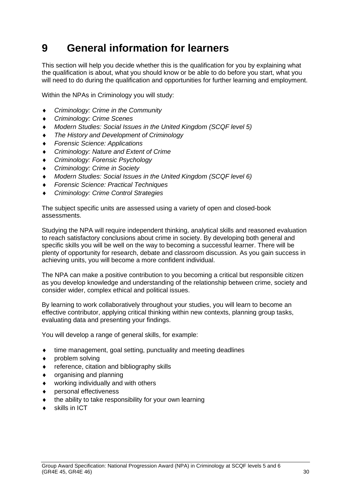# <span id="page-31-0"></span>**9 General information for learners**

This section will help you decide whether this is the qualification for you by explaining what the qualification is about, what you should know or be able to do before you start, what you will need to do during the qualification and opportunities for further learning and employment.

Within the NPAs in Criminology you will study:

- *Criminology: Crime in the Community*
- *Criminology: Crime Scenes*
- *Modern Studies: Social Issues in the United Kingdom (SCQF level 5)*
- *The History and Development of Criminology*
- *Forensic Science: Applications*
- *Criminology: Nature and Extent of Crime*
- *Criminology: Forensic Psychology*
- *Criminology: Crime in Society*
- *Modern Studies: Social Issues in the United Kingdom (SCQF level 6)*
- *Forensic Science: Practical Techniques*
- *Criminology: Crime Control Strategies*

The subject specific units are assessed using a variety of open and closed-book assessments.

Studying the NPA will require independent thinking, analytical skills and reasoned evaluation to reach satisfactory conclusions about crime in society. By developing both general and specific skills you will be well on the way to becoming a successful learner. There will be plenty of opportunity for research, debate and classroom discussion. As you gain success in achieving units, you will become a more confident individual.

The NPA can make a positive contribution to you becoming a critical but responsible citizen as you develop knowledge and understanding of the relationship between crime, society and consider wider, complex ethical and political issues.

By learning to work collaboratively throughout your studies, you will learn to become an effective contributor, applying critical thinking within new contexts, planning group tasks, evaluating data and presenting your findings.

You will develop a range of general skills, for example:

- time management, goal setting, punctuality and meeting deadlines
- problem solving
- reference, citation and bibliography skills
- $\bullet$  organising and planning
- working individually and with others
- personal effectiveness
- $\bullet$  the ability to take responsibility for your own learning
- skills in ICT